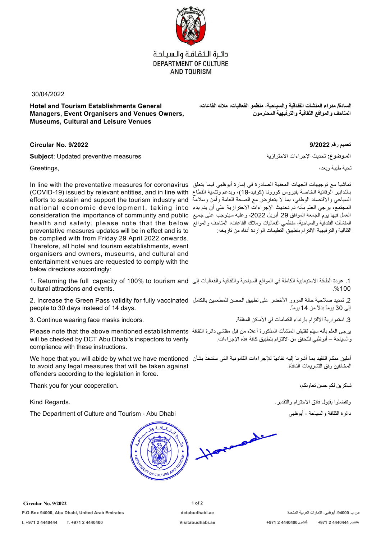

دائرة الثقافة والسياحة DEPARTMENT OF CULTURE **AND TOURISM** 

30/04/2022

**Hotel and Tourism Establishments General Managers, Event Organisers and Venues Owners, Museums, Cultural and Leisure Venues**

**السادة/ مدراء المنشآت الفندقية والسياحية، منظمو الفعاليات، ملاك القاعات، المتاحف والمواقع الثقافية والترفيهية المحترمون**

**تعميم رقم 9/2022 9/2022 .No Circular**

**المـوضوع:** تحديث الإجراءات الاحترازية measures preventive Updated :**Subject**

In line with the preventative measures for coronavirus تماشياً مع توجيهات الجهات المعنية الصادرة في إمارة أبوظبي فيما يتعلق (COVID-19) issued by relevant entities, and in line with بالتدابير الوقائية الخاصة بفيروس كورونا (كوفيد19-)، وبدعم وتنمية القطاع efforts to sustain and support the tourism industry and السياحي والاقتصاد الوطني، بما لا يتعارض مع الصحة العامة وأمن وسلامة national economic development, taking into المجتمع، يرجى العلم بأنه تم تحديث الإجراءات الاحترازية على أن يتم بدء consideration the importance of community and public العمل فيها يوم الجمعة الموافق 29 أبريل ،2022 وعليه سيتوجب على جميع health and safety, please note that the below المنشآت الفندقية والسياحية، منظمي الفعاليات وملاك القاعات، المتاحف والمواقع preventative measures updates will be in effect and is to be complied with from Friday 29 April 2022 onwards. Therefore, all hotel and tourism establishments, event organisers and owners, museums, and cultural and entertainment venues are requested to comply with the below directions accordingly:

1. Returning the full capacity of 100% to tourism and .1 عودة الطاقة الاستيعابية الكاملة في المواقع السياحية والثقافية والفعاليات إلى cultural attractions and events. .%100

2. Increase the Green Pass validity for fully vaccinated .2 تمديد صلاحية حالة المرور الأخضر على تطبيق الحصن للمطعمين بالكامل people to 30 days instead of 14 days. إلى 30 يوماً بدلاً من 14 يوما.ً

Please note that the above mentioned establishments يرجى العلم بأنه سيتم تفتيش المنشآت المذكورة أعلاه من قبل مفتشي دائرة الثقافة will be checked by DCT Abu Dhabi's inspectors to verify compliance with these instructions.

We hope that you will abide by what we have mentioned آملين منكم التقيد بما أشرنا إليه تفادياً للإجراءات القانونية التي ستتخذ بشأن to avoid any legal measures that will be taken against offenders according to the legislation in force.

Thank you for your cooperation. ،تعاونكم حسن لكم شاكرين

The Department of Culture and Tourism - Abu Dhabi أبوظبي - والسياحة الثقافة دائرة



**Circular No. 9/2022 1 of 2 P.O.Box 94000, Abu Dhabi, United Arab Emirates dctabudhabi.ae المتحدة العربية الإمارات ،أبوظبي ،94000.ب.ص**

تحية طيبة وبعد، ,Greetings

الثقافية والترفيهية الالتزام بتطبيق التعليمات الواردة أدناه من تاريخه:

3. استمرارية الالتزام بارتداء الكمامات في الأماكن المغلقة. .<br>3. استمرارية الالتزام بارتداء الكمامات في الأماكن المغلقة.

والسياحة – أبوظبي للتحقق من الالتزام بتطبيق كافة هذه الإجراءات.

المخالفين وفق التشريعات النافذة.

وتفضلوا بقبول فائق الاحترام والتقدير. .Regards Kind